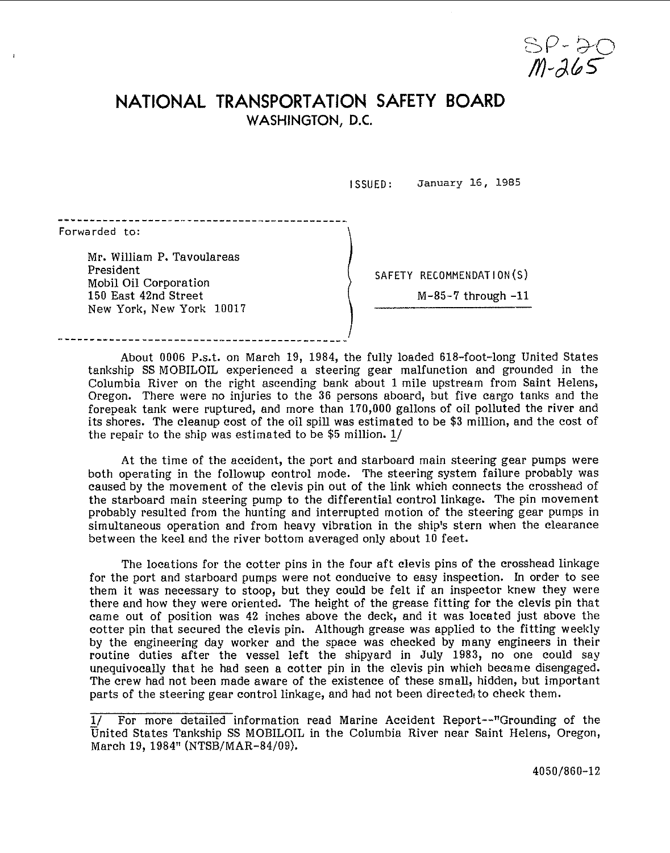$51 - 365$ 

## **NATIONAL TRANSPORTATION SAFETY BOARD WASHINGTON, D.C.**

**<sup>I</sup>**SSLIED: **January** 16, 1985

\ Forwarded to:

Mr. William P. Tavoulareas President Mobil Oil Corporation 150 East 42nd Street New York, New York 10017

SAFETY RECOMMENDATION(S)

 $M-85-7$  through  $-11$ 

About 0006 P.s.t. on March 19, 1984, the fully loaded 618-foot-long United States tankship SS MOBILOIL experienced a steering gear malfunction and grounded in the Columbia River on the right ascending bank about **1** mile upstream from Saint Helens, Oregon. There were no injuries to the 36 persons aboard, but five cargo tanks and the forepeak tank were ruptured, and more than 170,000 gallons of oil polluted the river and its shores. The cleanup cost of the oil spill was estimated to be \$3 million, and the cost of the repair to the ship was estimated to be \$5 million. 1/ Oregon. There were no injuries to the 36 persons aboard, between to interpret the repair to the cleanup cost of the oil spill was estimated to be the repair to the ship was estimated to be \$5 million.  $\underline{1}/$ 

I

At the time of the accident, the port and starboard main steering gear pumps were both operating in the followup control mode. The steering system failure probably was caused by the movement of the clevis pin out of the link which connects the crosshead of the starboard main steering pump to the differential control linkage. The pin movement probably resulted from the hunting and interrupted motion of the steering gear pumps in simultaneous operation and from heavy vibration in the ship's stern when the clearance between the keel and the river bottom averaged only about 10 feet.

The locations for the cotter pins in the four aft clevis pins of the crosshead linkage for the port and starboard pumps were not conducive to easy inspection. In order to see them it was necessary to stoop, but they could be felt if an inspector knew they were there and how they were oriented. The height of the grease fitting for the clevis pin that came out of position was 42 inches above the deck, and it was located just above the cotter pin that secured the clevis pin. Although grease was applied to the fitting weekly by the engineering day worker and the space was checked by many engineers in their routine duties after the vessel left the shipyard in July 1983, no one could say unequivocally that he had seen a cotter pin in the clevis pin which became disengaged. The crew had not been made aware of the existence of these small, hidden, but important parts of the steering gear control linkage, and had not been directed to check them.

<sup>-</sup> **I/** For more detailed information read Marine Accident Report--"Grounding of the United States Tankship SS MOBILOIL in the Columbia River near Saint Helens, Oregon, March 19, 1984" (NTSB/MAR-84/09).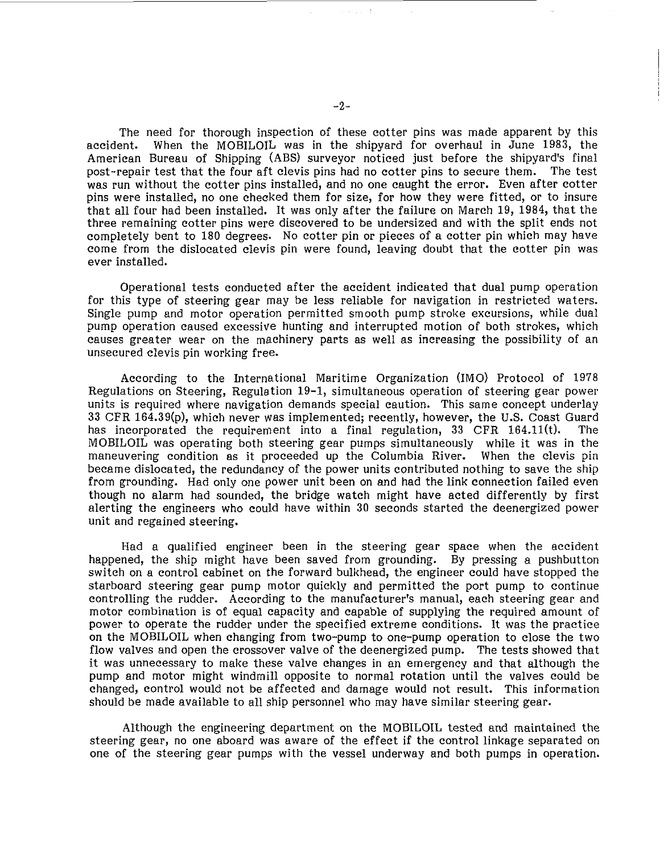The need for thorough inspection of these cotter pins was made apparent by this accident. When the MOBILOlL was in the shipyard for overhaul in June 1983, the American Bureau of Shipping (ABS) surveyor noticed just before the shipyard's final post-repair test that the four aft clevis pins had no cotter pins to secure them. The test was run without the cotter pins installed, and no one caught the error. Even after cotter pins were installed, no one checked them for size, for how they were fitted, or to insure that all four had been installed. It was only after the failure on March 19, 1984, that the three remaining cotter pins were discovered to be undersized and with the split ends not completely bent to 180 degrees. No cotter pin or pieces of a cotter pin which may have come from the dislocated clevis pin were found, leaving doubt that the cotter pin was ever installed.

Operational tests conducted after the accident indicated that dual pump operation for this type of steering gear may be less reliable for navigation in restricted waters. Single pump and motor operation permitted smooth pump stroke excursions, while dual pump operation caused excessive hunting and interrupted motion of both strokes, which causes greater wear on the machinery parts as well as increasing the possibility of an unsecured clevis pin working free.

According to the International Maritime Organization (IMO) Protocol of 1978 Regulations on Steering, Regulation 19-1, simultaneous operation of steering gear power units is required where navigation demands special caution. This same concept underlay **33** CFR 164.39(p), which never was implemented; recently, however, the **U.S.** Coast Guard has incorporated the requirement into a final regulation,  $33$  CFR  $164.11(t)$ . MOBILOIL was operating both steering gear pumps simultaneously while it was in the maneuvering condition as it proceeded up the Columbia River. When the clevis pin became dislocated, the redundancy of the power units contributed nothing to save the ship from grounding. Had only one power unit been on and had the link connection failed even though no alarm had sounded, the bridge watch might have acted differently by first alerting the engineers who could have within 30 seconds started the deenergized power unit and regained steering.

Had a qualified engineer been in the steering gear space when the accident happened, the ship might have been saved from grounding. By pressing a pushbutton switch on a control cabinet on the forward bulkhead, the engineer could have stopped the starboard steering gear pump motor quickly and permitted the port pump to continue controlling the rudder. According to the manufacturer's manual, each steering gear and motor combination is of equal capacity and capable of supplying the required amount of power to operate the rudder under the specified extreme conditions. It was the practice on the MOBILOIL when changing from two-pump to one-pump operation to close the two flow valves and open the crossover valve of the deenergized pump. The tests showed that it was unnecessary to make these valve changes in an emergency and that although the pump and motor might windmill opposite to normal rotation until the valves could be changed, control would not be affected and damage would not result. This information should be made available to all ship personnel who may have similar steering gear.

Although the engineering department on the MOBlLOIL tested and maintained the steering gear, no one aboard was aware of the effect if the control linkage separated on one of the steering gear pumps with the vessel underway and both pumps in operation.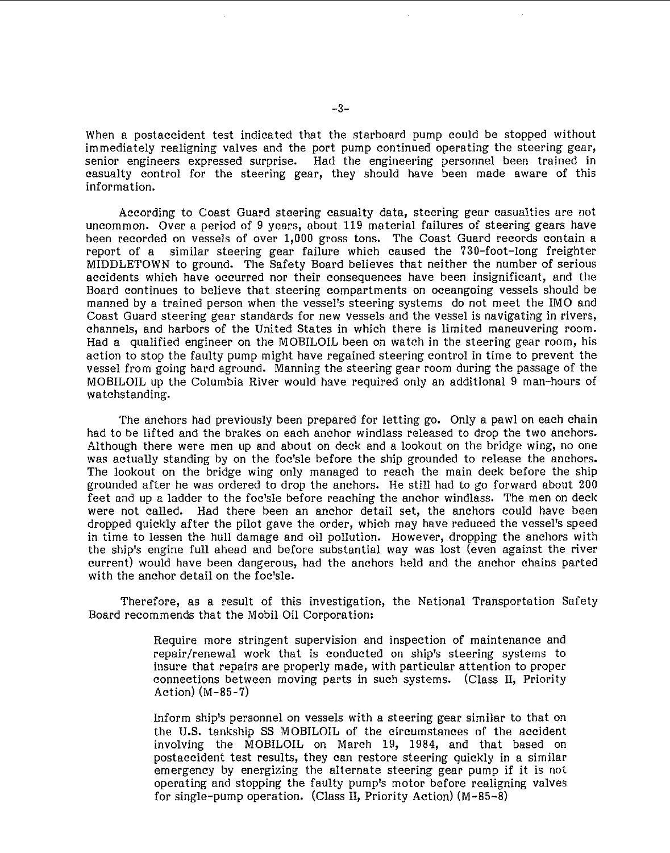When a postaccident test indicated that the starboard pump could be stopped without immediately realigning valves and the port pump continued operating the steering gear,<br>senior engineers expressed surprise. Had the engineering personnel been trained in Had the engineering personnel been trained in casualty control for the steering gear, they should have been made aware of this information.

According to Coast Guard steering casualty data, steering gear casualties are not uncommon. Over a period of 9 years, about 119 material failures of steering gears have been recorded on vessels of over 1,000 gross tons. The Coast Guard records contain a report of a similar steering gear failure which caused the 730-foot-long freighter MIDDLETOWN to ground. The Safety Board believes that neither the number of serious accidents which have occurred nor their consequences have been insignificant, and the Board continues to believe that steering compartments on oceangoing vessels should be manned by a trained person when the vessel's steering systems do not meet the IMO and Coast Guard steering gear standards for new vessels and the vessel is navigating in rivers, channels, and harbors of the United States in which there is limited maneuvering room. Had a qualified engineer on the MOBILOIL been on watch in the steering gear room, his action to stop the faulty pump might have regained steering control in time to prevent the vessel from going hard aground. Manning the steering gear room during the passage of the MOBILOIL up the Columbia River would have required only an additional **9** man-hours of watchstanding.

The anchors had previously been prepared for letting go. Only a pawl on each chain had to be lifted and the brakes on each anchor windlass released to drop the two anchors. Although there were men up and about on deck and a lookout on the bridge wing, no one was actually standing by on the foc'sle before the ship grounded to release the anchors. The lookout on the bridge wing only managed to reach the main deck before the ship grounded after he was ordered to drop the anchors. He still had to go forward about 200 feet and up a ladder to the foc'sle before reaching the anchor windlass. The men on deck were not called. Had there been an anchor detail set, the anchors could have been dropped quickly after the pilot gave the order, which may have reduced the vessel's speed in time to lessen the hull damage and oil pollution. However, dropping the anchors with the ship's engine full ahead and before substantial way was lost (even against the river current) would have been dangerous, had the anchors held and the anchor chains parted with the anchor detail on the foc'sle.

Therefore, as a result of this investigation, the National Transportation Safety Board recommends that the Mobil Oil Corporation:

> Require more stringent supervision and inspection of maintenance and repair/renewal work that is conducted on ship's steering systems to insure that repairs are properly made, with particular attention to proper connections between moving parts in such systems. (Class **11,** Priority Action) (M-85-7)

> Inform ship's personnel on vessels with a steering gear similar to that on the U.S. tankship SS MOBILOIL of the circumstances of the accident involving the MOBILOIL on March **19,** 1984, and that based on postaccident test results, they can restore steering quickly in a similar emergency by energizing the alternate steering gear pump if it is not operating and stopping the faulty pump's motor before realigning valves for single-pump operation. (Class 11, Priority Action) (M-85-8)